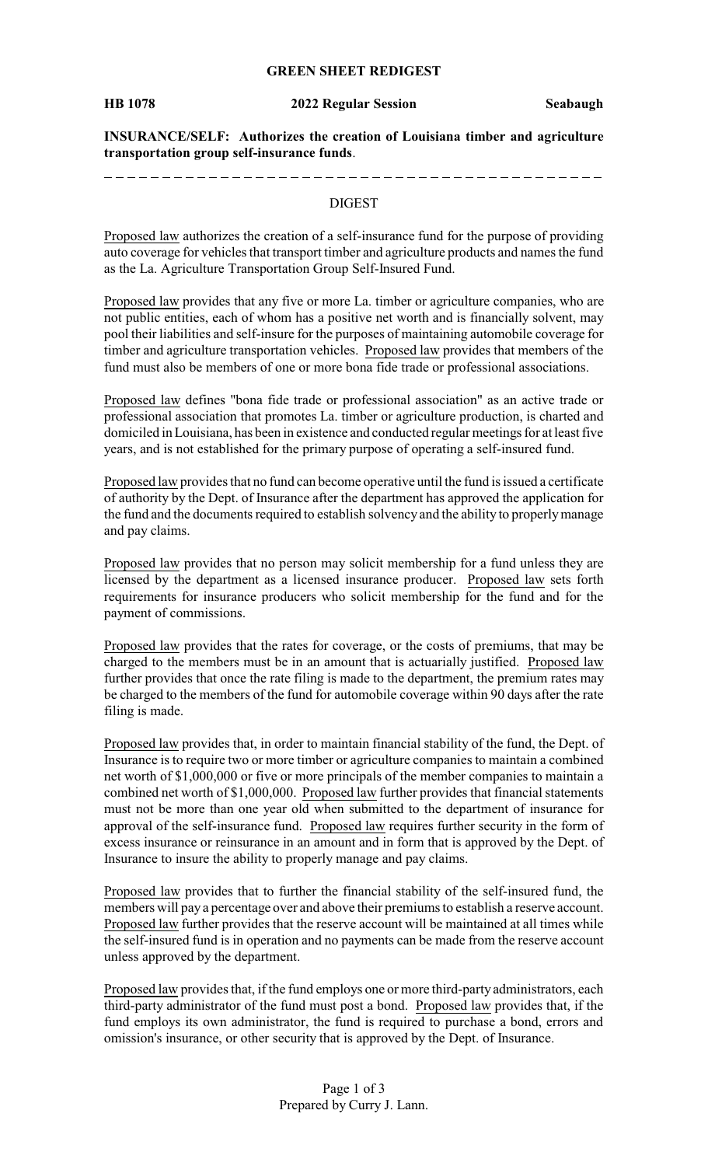#### **GREEN SHEET REDIGEST**

**HB 1078 2022 Regular Session Seabaugh**

**INSURANCE/SELF: Authorizes the creation of Louisiana timber and agriculture transportation group self-insurance funds**.

#### DIGEST

Proposed law authorizes the creation of a self-insurance fund for the purpose of providing auto coverage for vehicles that transport timber and agriculture products and names the fund as the La. Agriculture Transportation Group Self-Insured Fund.

Proposed law provides that any five or more La. timber or agriculture companies, who are not public entities, each of whom has a positive net worth and is financially solvent, may pool their liabilities and self-insure for the purposes of maintaining automobile coverage for timber and agriculture transportation vehicles. Proposed law provides that members of the fund must also be members of one or more bona fide trade or professional associations.

Proposed law defines "bona fide trade or professional association" as an active trade or professional association that promotes La. timber or agriculture production, is charted and domiciled in Louisiana, has been in existence and conducted regular meetings for at least five years, and is not established for the primary purpose of operating a self-insured fund.

Proposed law provides that no fund can become operative until the fund is issued a certificate of authority by the Dept. of Insurance after the department has approved the application for the fund and the documents required to establish solvency and the ability to properlymanage and pay claims.

Proposed law provides that no person may solicit membership for a fund unless they are licensed by the department as a licensed insurance producer. Proposed law sets forth requirements for insurance producers who solicit membership for the fund and for the payment of commissions.

Proposed law provides that the rates for coverage, or the costs of premiums, that may be charged to the members must be in an amount that is actuarially justified. Proposed law further provides that once the rate filing is made to the department, the premium rates may be charged to the members of the fund for automobile coverage within 90 days after the rate filing is made.

Proposed law provides that, in order to maintain financial stability of the fund, the Dept. of Insurance is to require two or more timber or agriculture companies to maintain a combined net worth of \$1,000,000 or five or more principals of the member companies to maintain a combined net worth of \$1,000,000. Proposed law further provides that financial statements must not be more than one year old when submitted to the department of insurance for approval of the self-insurance fund. Proposed law requires further security in the form of excess insurance or reinsurance in an amount and in form that is approved by the Dept. of Insurance to insure the ability to properly manage and pay claims.

Proposed law provides that to further the financial stability of the self-insured fund, the members will pay a percentage over and above their premiums to establish a reserve account. Proposed law further provides that the reserve account will be maintained at all times while the self-insured fund is in operation and no payments can be made from the reserve account unless approved by the department.

Proposed law provides that, if the fund employs one or more third-party administrators, each third-party administrator of the fund must post a bond. Proposed law provides that, if the fund employs its own administrator, the fund is required to purchase a bond, errors and omission's insurance, or other security that is approved by the Dept. of Insurance.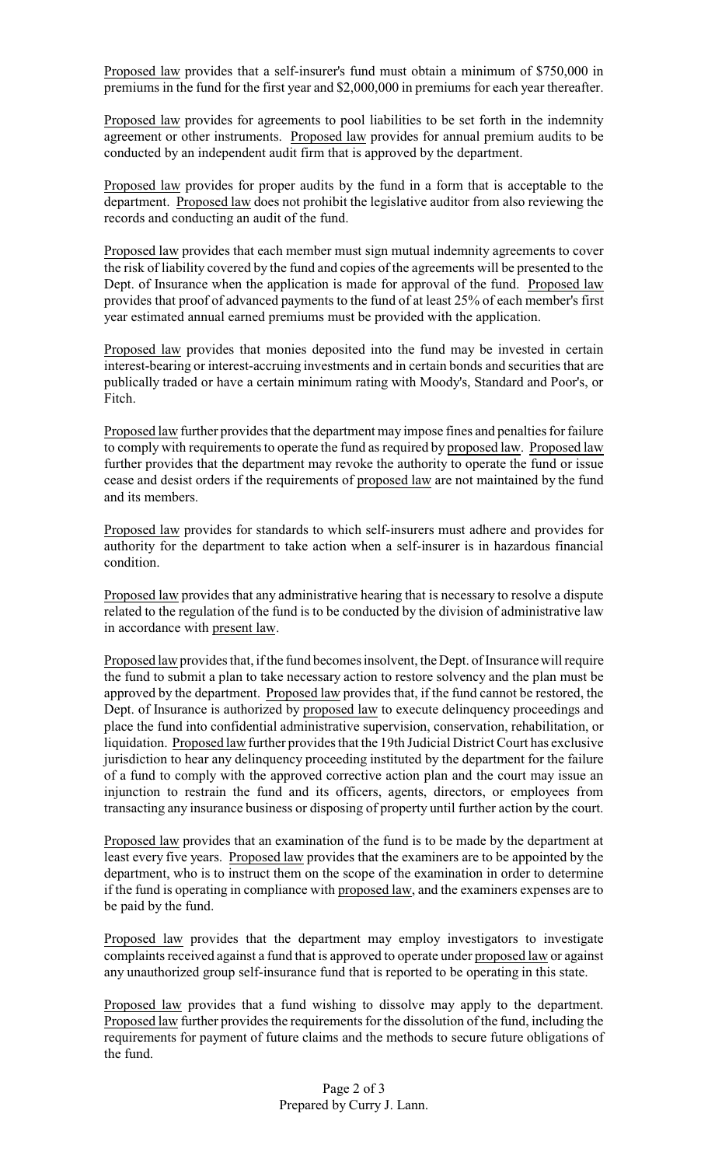Proposed law provides that a self-insurer's fund must obtain a minimum of \$750,000 in premiums in the fund for the first year and \$2,000,000 in premiums for each year thereafter.

Proposed law provides for agreements to pool liabilities to be set forth in the indemnity agreement or other instruments. Proposed law provides for annual premium audits to be conducted by an independent audit firm that is approved by the department.

Proposed law provides for proper audits by the fund in a form that is acceptable to the department. Proposed law does not prohibit the legislative auditor from also reviewing the records and conducting an audit of the fund.

Proposed law provides that each member must sign mutual indemnity agreements to cover the risk of liability covered by the fund and copies of the agreements will be presented to the Dept. of Insurance when the application is made for approval of the fund. Proposed law provides that proof of advanced payments to the fund of at least 25% of each member's first year estimated annual earned premiums must be provided with the application.

Proposed law provides that monies deposited into the fund may be invested in certain interest-bearing or interest-accruing investments and in certain bonds and securities that are publically traded or have a certain minimum rating with Moody's, Standard and Poor's, or Fitch.

Proposed law further provides that the department may impose fines and penalties for failure to comply with requirements to operate the fund as required by proposed law. Proposed law further provides that the department may revoke the authority to operate the fund or issue cease and desist orders if the requirements of proposed law are not maintained by the fund and its members.

Proposed law provides for standards to which self-insurers must adhere and provides for authority for the department to take action when a self-insurer is in hazardous financial condition.

Proposed law provides that any administrative hearing that is necessary to resolve a dispute related to the regulation of the fund is to be conducted by the division of administrative law in accordance with present law.

Proposed law provides that, if the fund becomes insolvent, the Dept. of Insurance will require the fund to submit a plan to take necessary action to restore solvency and the plan must be approved by the department. Proposed law provides that, if the fund cannot be restored, the Dept. of Insurance is authorized by proposed law to execute delinquency proceedings and place the fund into confidential administrative supervision, conservation, rehabilitation, or liquidation. Proposed law further provides that the 19th Judicial District Court has exclusive jurisdiction to hear any delinquency proceeding instituted by the department for the failure of a fund to comply with the approved corrective action plan and the court may issue an injunction to restrain the fund and its officers, agents, directors, or employees from transacting any insurance business or disposing of property until further action by the court.

Proposed law provides that an examination of the fund is to be made by the department at least every five years. Proposed law provides that the examiners are to be appointed by the department, who is to instruct them on the scope of the examination in order to determine if the fund is operating in compliance with proposed law, and the examiners expenses are to be paid by the fund.

Proposed law provides that the department may employ investigators to investigate complaints received against a fund that is approved to operate under proposed law or against any unauthorized group self-insurance fund that is reported to be operating in this state.

Proposed law provides that a fund wishing to dissolve may apply to the department. Proposed law further provides the requirements for the dissolution of the fund, including the requirements for payment of future claims and the methods to secure future obligations of the fund.